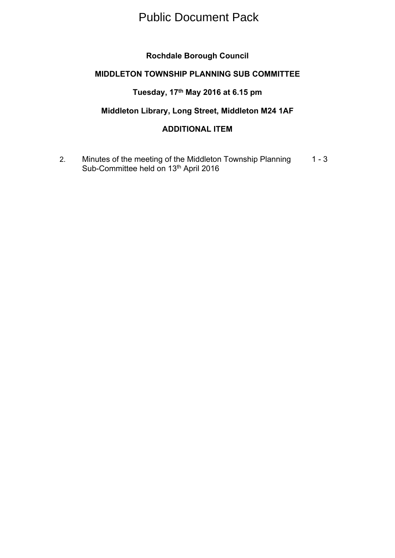## Public Document Pack

## **Rochdale Borough Council**

## **MIDDLETON TOWNSHIP PLANNING SUB COMMITTEE**

## **Tuesday, 17th May 2016 at 6.15 pm**

## **Middleton Library, Long Street, Middleton M24 1AF**

## **ADDITIONAL ITEM**

2. Minutes of the meeting of the Middleton Township Planning Sub-Committee held on 13<sup>th</sup> April 2016  $1 - 3$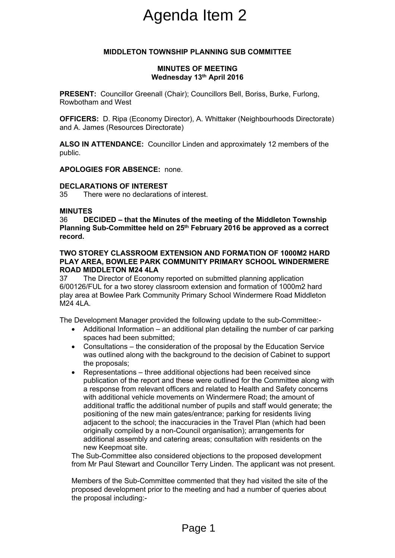# Agenda Item 2

#### **MIDDLETON TOWNSHIP PLANNING SUB COMMITTEE**

#### **MINUTES OF MEETING Wednesday 13th April 2016**

**PRESENT:** Councillor Greenall (Chair); Councillors Bell, Boriss, Burke, Furlong, Rowbotham and West

**OFFICERS:** D. Ripa (Economy Director), A. Whittaker (Neighbourhoods Directorate) and A. James (Resources Directorate)

**ALSO IN ATTENDANCE:** Councillor Linden and approximately 12 members of the public.

**APOLOGIES FOR ABSENCE:** none.

#### **DECLARATIONS OF INTEREST**

35 There were no declarations of interest.

#### **MINUTES**

36 **DECIDED – that the Minutes of the meeting of the Middleton Township Planning Sub-Committee held on 25th February 2016 be approved as a correct record.**

#### **TWO STOREY CLASSROOM EXTENSION AND FORMATION OF 1000M2 HARD PLAY AREA, BOWLEE PARK COMMUNITY PRIMARY SCHOOL WINDERMERE ROAD MIDDLETON M24 4LA**

37 The Director of Economy reported on submitted planning application 6/00126/FUL for a two storey classroom extension and formation of 1000m2 hard play area at Bowlee Park Community Primary School Windermere Road Middleton M24 4LA.

The Development Manager provided the following update to the sub-Committee:-

- Additional Information an additional plan detailing the number of car parking spaces had been submitted;
- Consultations the consideration of the proposal by the Education Service was outlined along with the background to the decision of Cabinet to support the proposals;
- Representations three additional objections had been received since publication of the report and these were outlined for the Committee along with a response from relevant officers and related to Health and Safety concerns with additional vehicle movements on Windermere Road; the amount of additional traffic the additional number of pupils and staff would generate; the positioning of the new main gates/entrance; parking for residents living adjacent to the school; the inaccuracies in the Travel Plan (which had been originally compiled by a non-Council organisation); arrangements for additional assembly and catering areas; consultation with residents on the new Keepmoat site. Agenda Item 2<br>
Notation Business of MEETING<br>
MINUTES OF MEETING<br>
Wednesday 13<sup>th</sup> April 2016<br>
eenall (Chair); Councillors Bell, I<br>
nomy Director, A. Whittaker (N.<br>
Directorate)<br>
Councillor Linden and approxir<br>
NCE: none.<br>

The Sub-Committee also considered objections to the proposed development from Mr Paul Stewart and Councillor Terry Linden. The applicant was not present.

Members of the Sub-Committee commented that they had visited the site of the proposed development prior to the meeting and had a number of queries about the proposal including:-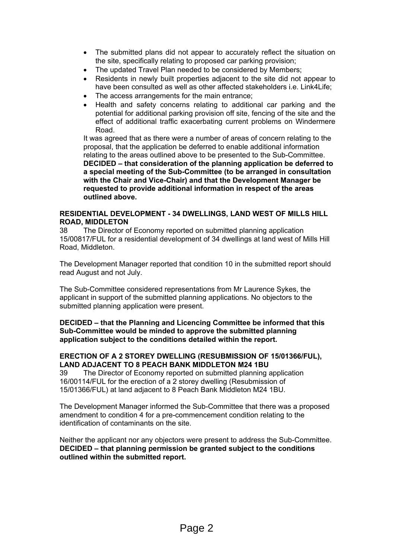- The submitted plans did not appear to accurately reflect the situation on the site, specifically relating to proposed car parking provision;
- The updated Travel Plan needed to be considered by Members;
- Residents in newly built properties adjacent to the site did not appear to have been consulted as well as other affected stakeholders i.e. Link4Life:
- The access arrangements for the main entrance;
- Health and safety concerns relating to additional car parking and the potential for additional parking provision off site, fencing of the site and the effect of additional traffic exacerbating current problems on Windermere Road.

It was agreed that as there were a number of areas of concern relating to the proposal, that the application be deferred to enable additional information relating to the areas outlined above to be presented to the Sub-Committee. **DECIDED – that consideration of the planning application be deferred to a special meeting of the Sub-Committee (to be arranged in consultation with the Chair and Vice-Chair) and that the Development Manager be requested to provide additional information in respect of the areas outlined above.**

#### **RESIDENTIAL DEVELOPMENT - 34 DWELLINGS, LAND WEST OF MILLS HILL ROAD, MIDDLETON**

38 The Director of Economy reported on submitted planning application 15/00817/FUL for a residential development of 34 dwellings at land west of Mills Hill Road, Middleton.

The Development Manager reported that condition 10 in the submitted report should read August and not July.

The Sub-Committee considered representations from Mr Laurence Sykes, the applicant in support of the submitted planning applications. No objectors to the submitted planning application were present.

**DECIDED – that the Planning and Licencing Committee be informed that this Sub-Committee would be minded to approve the submitted planning application subject to the conditions detailed within the report.**

#### **ERECTION OF A 2 STOREY DWELLING (RESUBMISSION OF 15/01366/FUL), LAND ADJACENT TO 8 PEACH BANK MIDDLETON M24 1BU**

39 The Director of Economy reported on submitted planning application 16/00114/FUL for the erection of a 2 storey dwelling (Resubmission of 15/01366/FUL) at land adjacent to 8 Peach Bank Middleton M24 1BU.

The Development Manager informed the Sub-Committee that there was a proposed amendment to condition 4 for a pre-commencement condition relating to the identification of contaminants on the site.

Neither the applicant nor any objectors were present to address the Sub-Committee. **DECIDED – that planning permission be granted subject to the conditions outlined within the submitted report.**